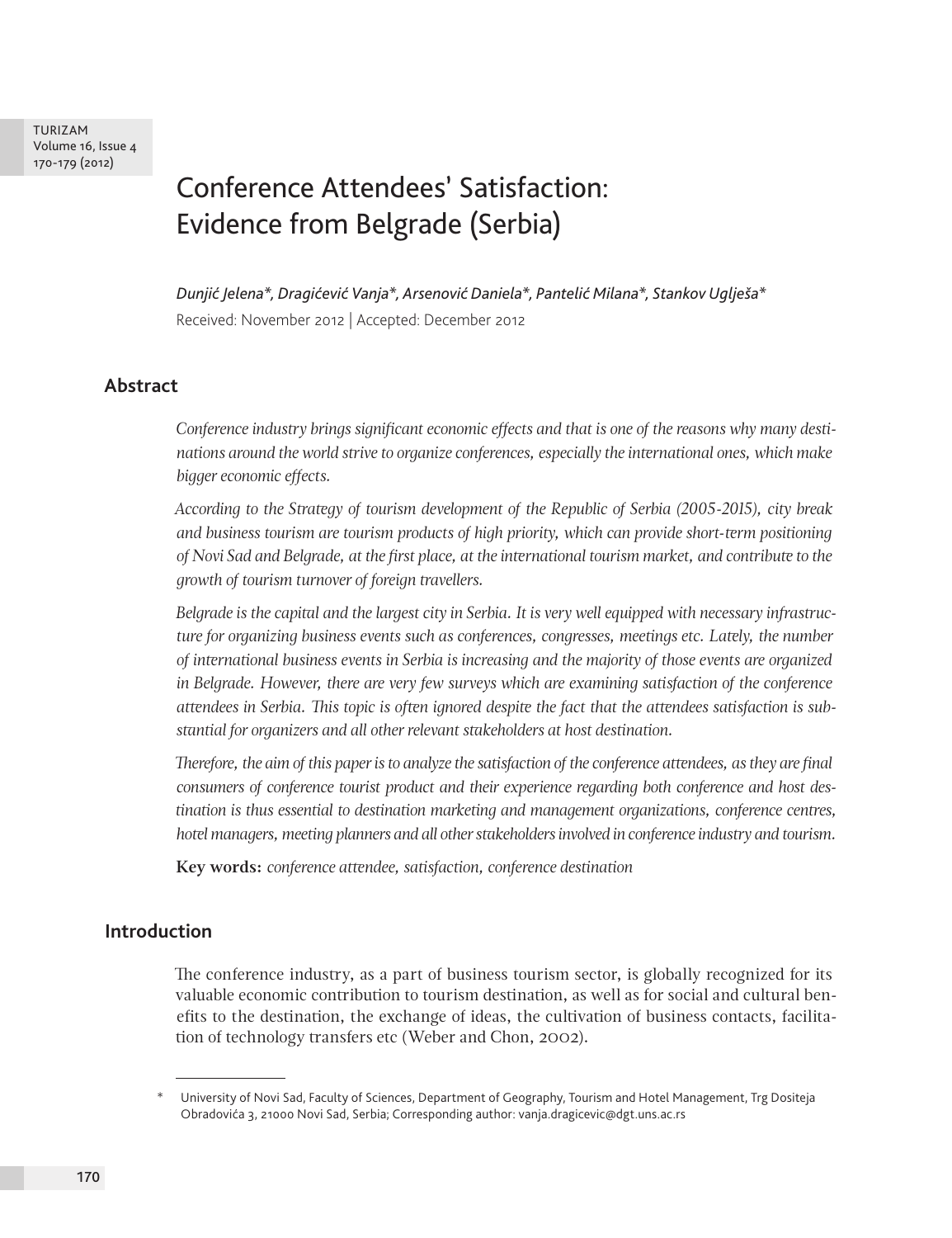TURIZAM Volume 16, Issue 4 170-179 (2012)

# Conference Attendees' Satisfaction: Evidence from Belgrade (Serbia)

*Dunjić Jelena\*, Dragićević Vanja\*, Arsenović Daniela\*, Pantelić Milana\*, Stankov Uglješa\** Received: November 2012 | Accepted: December 2012

## **Abstract**

*Conference industry brings significant economic effects and that is one of the reasons why many destinations around the world strive to organize conferences, especially the international ones, which make bigger economic effects.* 

*According to the Strategy of tourism development of the Republic of Serbia (2005-2015), city break and business tourism are tourism products of high priority, which can provide short-term positioning of Novi Sad and Belgrade, at the first place, at the international tourism market, and contribute to the growth of tourism turnover of foreign travellers.*

*Belgrade is the capital and the largest city in Serbia. It is very well equipped with necessary infrastructure for organizing business events such as conferences, congresses, meetings etc. Lately, the number of international business events in Serbia is increasing and the majority of those events are organized in Belgrade. However, there are very few surveys which are examining satisfaction of the conference attendees in Serbia. This topic is often ignored despite the fact that the attendees satisfaction is substantial for organizers and all other relevant stakeholders at host destination.* 

*Therefore, the aim of this paper is to analyze the satisfaction of the conference attendees, as they are final consumers of conference tourist product and their experience regarding both conference and host destination is thus essential to destination marketing and management organizations, conference centres, hotel managers, meeting planners and all other stakeholders involved in conference industry and tourism.*

**Key words:** *conference attendee, satisfaction, conference destination*

## **Introduction**

The conference industry, as a part of business tourism sector, is globally recognized for its valuable economic contribution to tourism destination, as well as for social and cultural benefits to the destination, the exchange of ideas, the cultivation of business contacts, facilitation of technology transfers etc (Weber and Chon, 2002).

University of Novi Sad, Faculty of Sciences, Department of Geography, Tourism and Hotel Management, Trg Dositeja Obradovića 3, 21000 Novi Sad, Serbia; Corresponding author: vanja.dragicevic@dgt.uns.ac.rs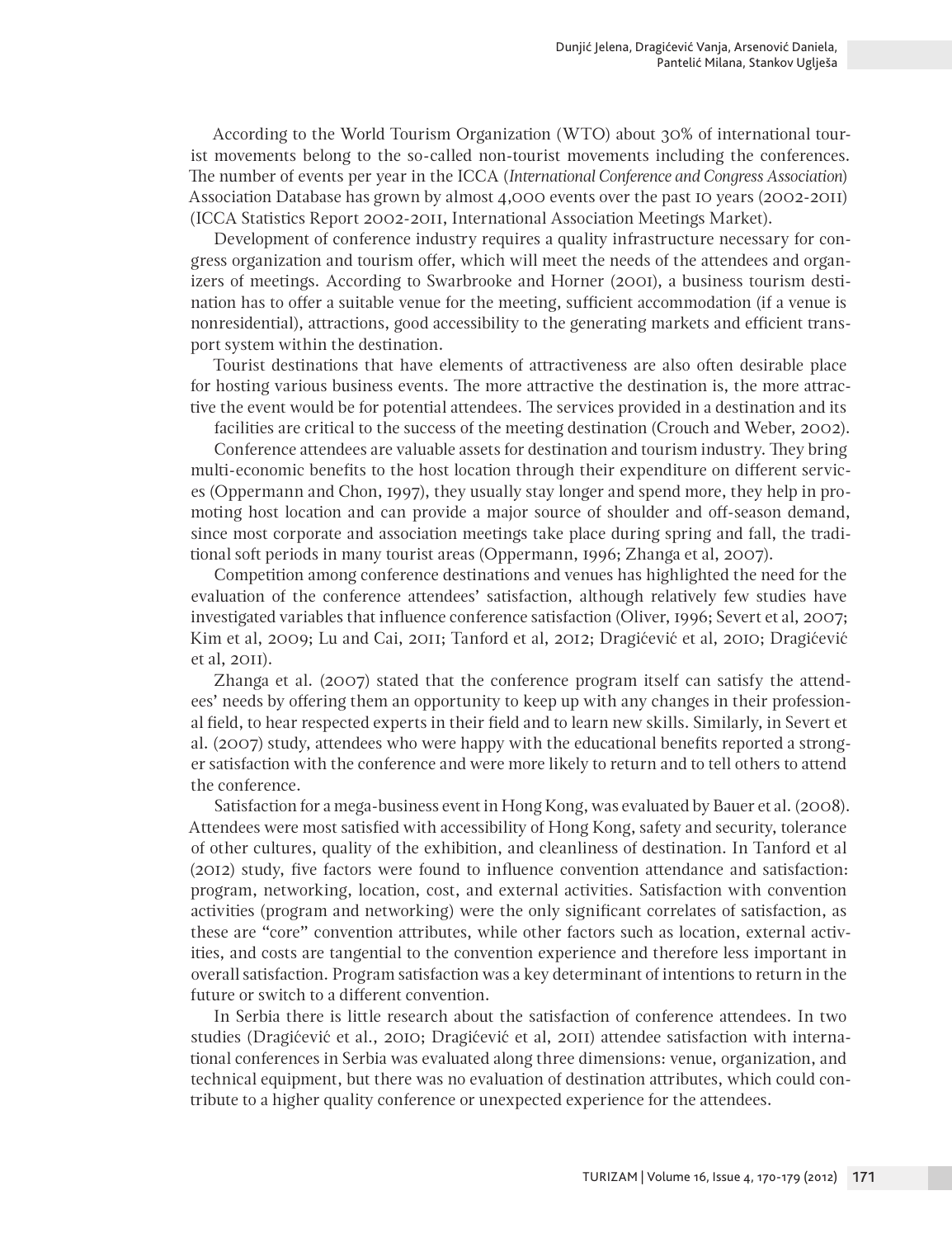According to the World Tourism Organization (WTO) about 30% of international tourist movements belong to the so-called non-tourist movements including the conferences. The number of events per year in the ICCA (*International Conference and Congress Association*) Association Database has grown by almost 4,000 events over the past 10 years (2002-2011) (ICCA Statistics Report 2002-2011, International Association Meetings Market).

Development of conference industry requires a quality infrastructure necessary for congress organization and tourism offer, which will meet the needs of the attendees and organizers of meetings. According to Swarbrooke and Horner (2001), a business tourism destination has to offer a suitable venue for the meeting, sufficient accommodation (if a venue is nonresidential), attractions, good accessibility to the generating markets and efficient transport system within the destination.

Tourist destinations that have elements of attractiveness are also often desirable place for hosting various business events. The more attractive the destination is, the more attractive the event would be for potential attendees. The services provided in a destination and its

facilities are critical to the success of the meeting destination (Crouch and Weber, 2002). Conference attendees are valuable assets for destination and tourism industry. They bring

multi-economic benefits to the host location through their expenditure on different services (Oppermann and Chon, 1997), they usually stay longer and spend more, they help in promoting host location and can provide a major source of shoulder and off-season demand, since most corporate and association meetings take place during spring and fall, the traditional soft periods in many tourist areas (Oppermann, 1996; Zhanga et al, 2007).

Competition among conference destinations and venues has highlighted the need for the evaluation of the conference attendees' satisfaction, although relatively few studies have investigated variables that influence conference satisfaction (Oliver, 1996; Severt et al, 2007; Kim et al, 2009; Lu and Cai, 2011; Tanford et al, 2012; Dragićević et al, 2010; Dragićević et al, 2011).

Zhanga et al. (2007) stated that the conference program itself can satisfy the attendees' needs by offering them an opportunity to keep up with any changes in their professional field, to hear respected experts in their field and to learn new skills. Similarly, in Severt et al. (2007) study, attendees who were happy with the educational benefits reported a stronger satisfaction with the conference and were more likely to return and to tell others to attend the conference.

Satisfaction for a mega-business event in Hong Kong, was evaluated by Bauer et al. (2008). Attendees were most satisfied with accessibility of Hong Kong, safety and security, tolerance of other cultures, quality of the exhibition, and cleanliness of destination. In Tanford et al (2012) study, five factors were found to influence convention attendance and satisfaction: program, networking, location, cost, and external activities. Satisfaction with convention activities (program and networking) were the only significant correlates of satisfaction, as these are "core" convention attributes, while other factors such as location, external activities, and costs are tangential to the convention experience and therefore less important in overall satisfaction. Program satisfaction was a key determinant of intentions to return in the future or switch to a different convention.

In Serbia there is little research about the satisfaction of conference attendees. In two studies (Dragićević et al., 2010; Dragićević et al, 2011) attendee satisfaction with international conferences in Serbia was evaluated along three dimensions: venue, organization, and technical equipment, but there was no evaluation of destination attributes, which could contribute to a higher quality conference or unexpected experience for the attendees.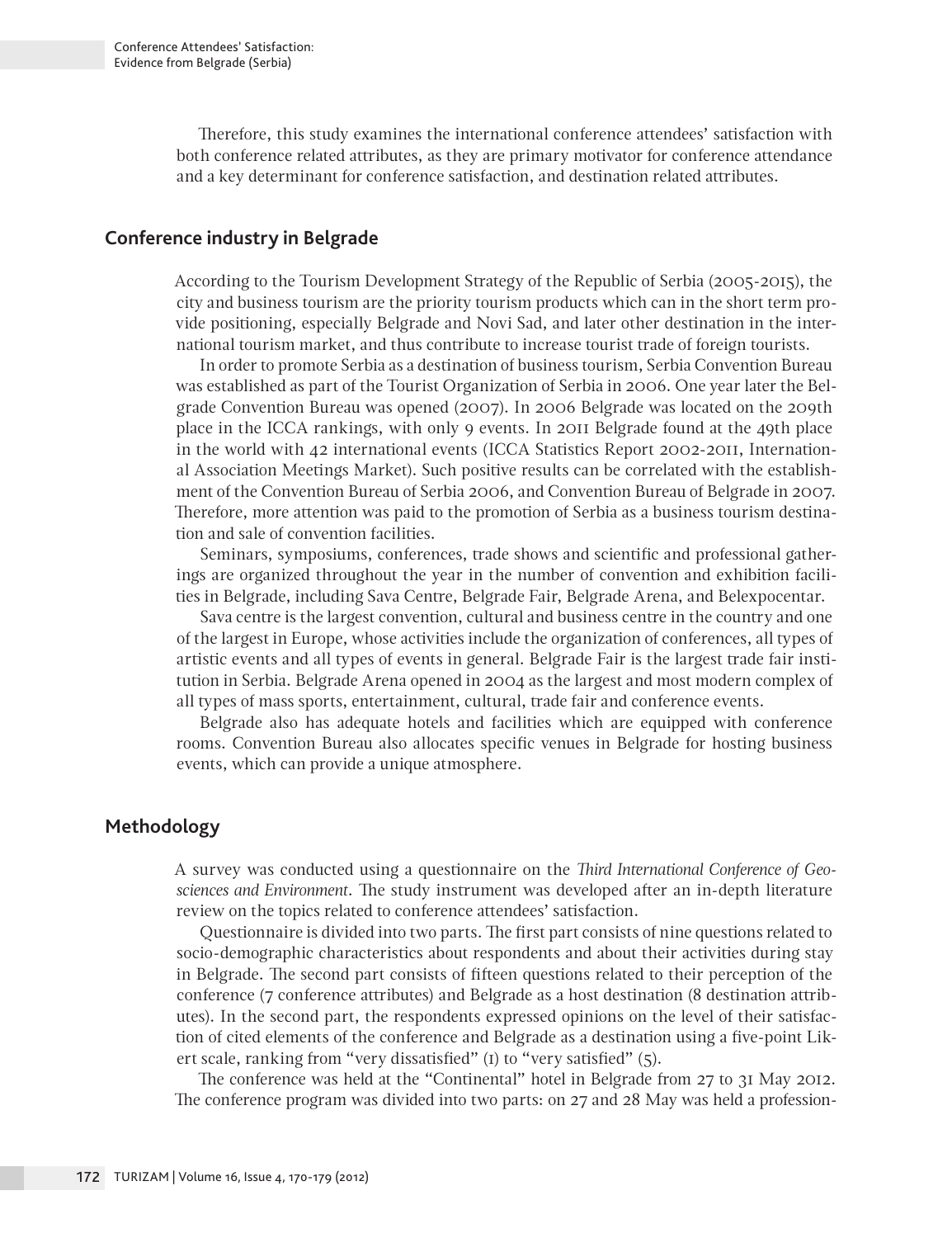Therefore, this study examines the international conference attendees' satisfaction with both conference related attributes, as they are primary motivator for conference attendance and a key determinant for conference satisfaction, and destination related attributes.

#### **Conference industry in Belgrade**

According to the Tourism Development Strategy of the Republic of Serbia (2005-2015), the city and business tourism are the priority tourism products which can in the short term provide positioning, especially Belgrade and Novi Sad, and later other destination in the international tourism market, and thus contribute to increase tourist trade of foreign tourists.

In order to promote Serbia as a destination of business tourism, Serbia Convention Bureau was established as part of the Tourist Organization of Serbia in 2006. One year later the Belgrade Convention Bureau was opened (2007). In 2006 Belgrade was located on the 209th place in the ICCA rankings, with only 9 events. In 2011 Belgrade found at the 49th place in the world with 42 international events (ICCA Statistics Report 2002-2011, International Association Meetings Market). Such positive results can be correlated with the establishment of the Convention Bureau of Serbia 2006, and Convention Bureau of Belgrade in 2007. Therefore, more attention was paid to the promotion of Serbia as a business tourism destination and sale of convention facilities.

Seminars, symposiums, conferences, trade shows and scientific and professional gatherings are organized throughout the year in the number of convention and exhibition facilities in Belgrade, including Sava Centre, Belgrade Fair, Belgrade Arena, and Belexpocentar.

Sava centre is the largest convention, cultural and business centre in the country and one of the largest in Europe, whose activities include the organization of conferences, all types of artistic events and all types of events in general. Belgrade Fair is the largest trade fair institution in Serbia. Belgrade Arena opened in 2004 as the largest and most modern complex of all types of mass sports, entertainment, cultural, trade fair and conference events.

Belgrade also has adequate hotels and facilities which are equipped with conference rooms. Convention Bureau also allocates specific venues in Belgrade for hosting business events, which can provide a unique atmosphere.

# **Methodology**

A survey was conducted using a questionnaire on the *Third International Conference of Geosciences and Environment*. The study instrument was developed after an in-depth literature review on the topics related to conference attendees' satisfaction.

Questionnaire is divided into two parts. The first part consists of nine questions related to socio-demographic characteristics about respondents and about their activities during stay in Belgrade. The second part consists of fifteen questions related to their perception of the conference (7 conference attributes) and Belgrade as a host destination (8 destination attributes). In the second part, the respondents expressed opinions on the level of their satisfaction of cited elements of the conference and Belgrade as a destination using a five-point Likert scale, ranking from "very dissatisfied" (1) to "very satisfied" (5).

The conference was held at the "Continental" hotel in Belgrade from 27 to 31 May 2012. The conference program was divided into two parts: on 27 and 28 May was held a profession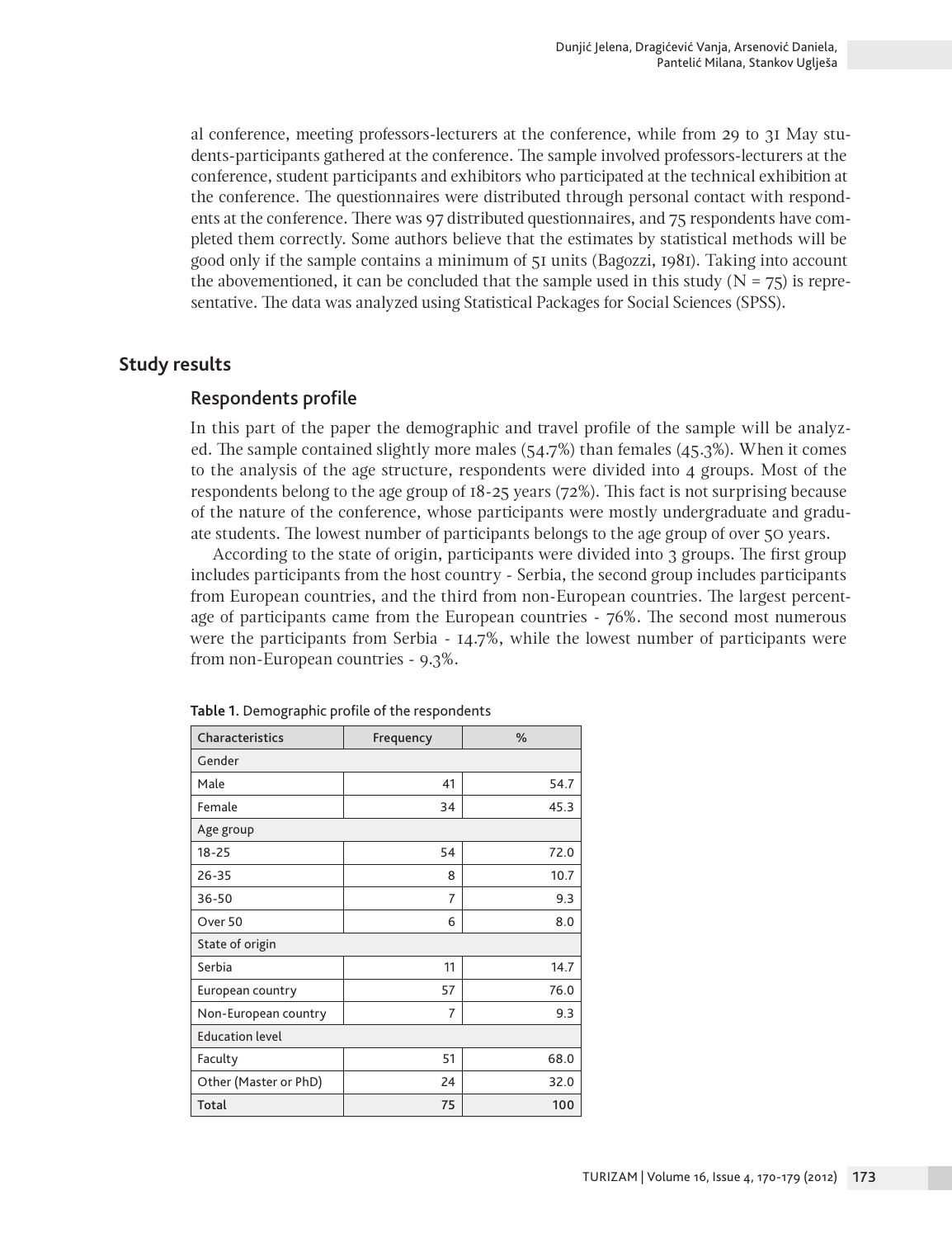al conference, meeting professors-lecturers at the conference, while from 29 to 31 May students-participants gathered at the conference. The sample involved professors-lecturers at the conference, student participants and exhibitors who participated at the technical exhibition at the conference. The questionnaires were distributed through personal contact with respondents at the conference. There was 97 distributed questionnaires, and 75 respondents have completed them correctly. Some authors believe that the estimates by statistical methods will be good only if the sample contains a minimum of 51 units (Bagozzi, 1981). Taking into account the abovementioned, it can be concluded that the sample used in this study ( $N = 75$ ) is representative. The data was analyzed using Statistical Packages for Social Sciences (SPSS).

## **Study results**

## Respondents profile

In this part of the paper the demographic and travel profile of the sample will be analyzed. The sample contained slightly more males  $(54.7\%)$  than females  $(45.3\%)$ . When it comes to the analysis of the age structure, respondents were divided into 4 groups. Most of the respondents belong to the age group of 18-25 years (72%). This fact is not surprising because of the nature of the conference, whose participants were mostly undergraduate and graduate students. The lowest number of participants belongs to the age group of over 50 years.

According to the state of origin, participants were divided into 3 groups. The first group includes participants from the host country - Serbia, the second group includes participants from European countries, and the third from non-European countries. The largest percentage of participants came from the European countries - 76%. The second most numerous were the participants from Serbia - 14.7%, while the lowest number of participants were from non-European countries - 9.3%.

| Characteristics        | Frequency | $\%$ |  |  |  |  |
|------------------------|-----------|------|--|--|--|--|
| Gender                 |           |      |  |  |  |  |
| Male                   | 41        | 54.7 |  |  |  |  |
| Female                 | 34        | 45.3 |  |  |  |  |
| Age group              |           |      |  |  |  |  |
| $18 - 25$              | 54        | 72.0 |  |  |  |  |
| $26 - 35$              | 8         | 10.7 |  |  |  |  |
| $36 - 50$              | 7         | 9.3  |  |  |  |  |
| Over 50                | 6         | 8.0  |  |  |  |  |
| State of origin        |           |      |  |  |  |  |
| Serbia                 | 11        | 14.7 |  |  |  |  |
| European country       | 57        | 76.0 |  |  |  |  |
| Non-European country   | 7         | 9.3  |  |  |  |  |
| <b>Education level</b> |           |      |  |  |  |  |
| Faculty                | 51        | 68.0 |  |  |  |  |
| Other (Master or PhD)  | 24        | 32.0 |  |  |  |  |
| Total                  | 75        | 100  |  |  |  |  |

**Table 1.** Demographic profile of the respondents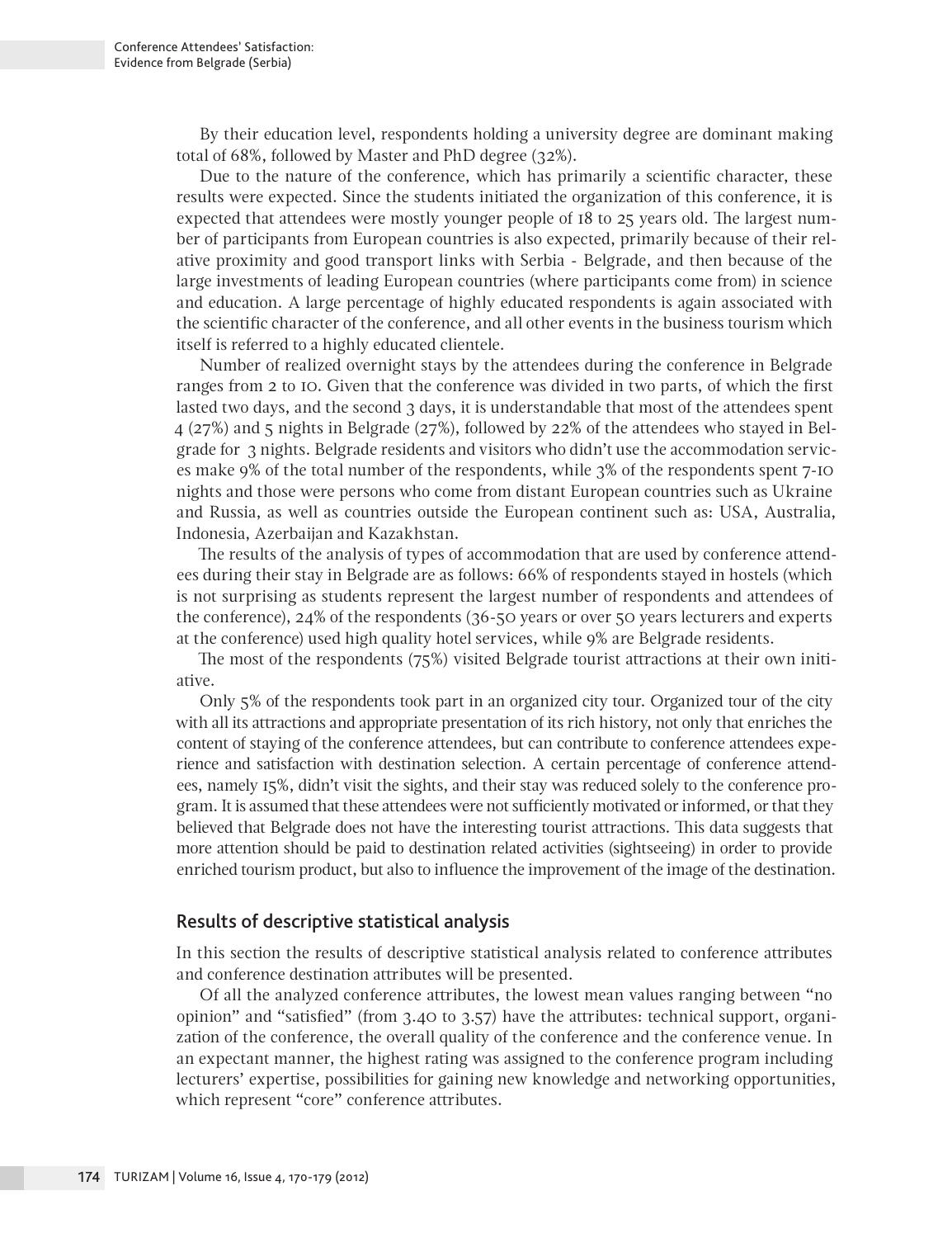By their education level, respondents holding a university degree are dominant making total of 68%, followed by Master and PhD degree (32%).

Due to the nature of the conference, which has primarily a scientific character, these results were expected. Since the students initiated the organization of this conference, it is expected that attendees were mostly younger people of 18 to 25 years old. The largest number of participants from European countries is also expected, primarily because of their relative proximity and good transport links with Serbia - Belgrade, and then because of the large investments of leading European countries (where participants come from) in science and education. A large percentage of highly educated respondents is again associated with the scientific character of the conference, and all other events in the business tourism which itself is referred to a highly educated clientele.

Number of realized overnight stays by the attendees during the conference in Belgrade ranges from 2 to 10. Given that the conference was divided in two parts, of which the first lasted two days, and the second 3 days, it is understandable that most of the attendees spent 4 (27%) and 5 nights in Belgrade (27%), followed by 22% of the attendees who stayed in Belgrade for 3 nights. Belgrade residents and visitors who didn't use the accommodation services make 9% of the total number of the respondents, while 3% of the respondents spent 7-10 nights and those were persons who come from distant European countries such as Ukraine and Russia, as well as countries outside the European continent such as: USA, Australia, Indonesia, Azerbaijan and Kazakhstan.

The results of the analysis of types of accommodation that are used by conference attendees during their stay in Belgrade are as follows: 66% of respondents stayed in hostels (which is not surprising as students represent the largest number of respondents and attendees of the conference), 24% of the respondents (36-50 years or over 50 years lecturers and experts at the conference) used high quality hotel services, while 9% are Belgrade residents.

The most of the respondents (75%) visited Belgrade tourist attractions at their own initiative.

Only 5% of the respondents took part in an organized city tour. Organized tour of the city with all its attractions and appropriate presentation of its rich history, not only that enriches the content of staying of the conference attendees, but can contribute to conference attendees experience and satisfaction with destination selection. A certain percentage of conference attendees, namely 15%, didn't visit the sights, and their stay was reduced solely to the conference program. It is assumed that these attendees were not sufficiently motivated or informed, or that they believed that Belgrade does not have the interesting tourist attractions. This data suggests that more attention should be paid to destination related activities (sightseeing) in order to provide enriched tourism product, but also to influence the improvement of the image of the destination.

#### Results of descriptive statistical analysis

In this section the results of descriptive statistical analysis related to conference attributes and conference destination attributes will be presented.

Of all the analyzed conference attributes, the lowest mean values ranging between "no opinion" and "satisfied" (from 3.40 to 3.57) have the attributes: technical support, organization of the conference, the overall quality of the conference and the conference venue. In an expectant manner, the highest rating was assigned to the conference program including lecturers' expertise, possibilities for gaining new knowledge and networking opportunities, which represent "core" conference attributes.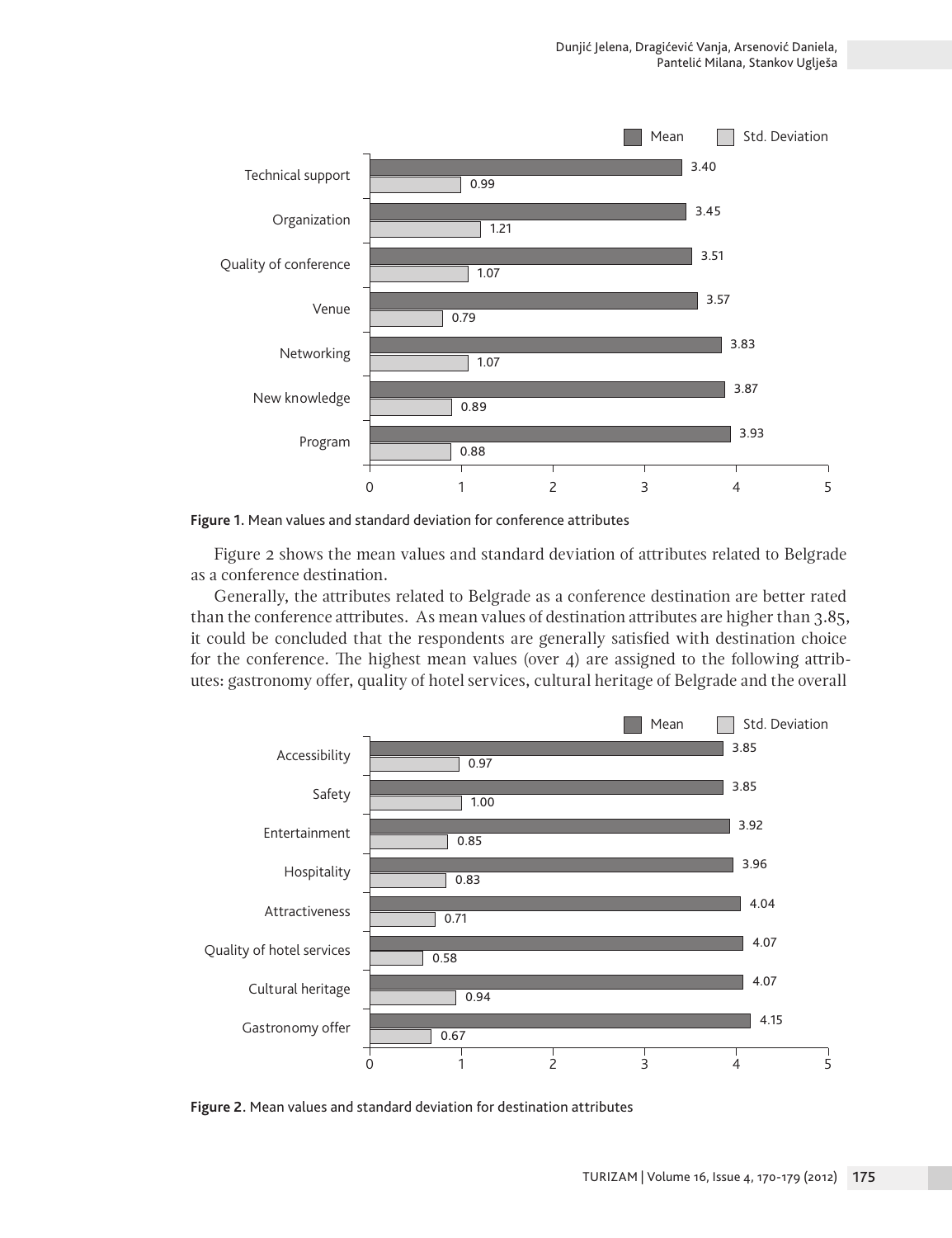

**Figure 1.** Mean values and standard deviation for conference attributes

Figure 2 shows the mean values and standard deviation of attributes related to Belgrade as a conference destination.

Generally, the attributes related to Belgrade as a conference destination are better rated than the conference attributes. As mean values of destination attributes are higher than 3.85, it could be concluded that the respondents are generally satisfied with destination choice for the conference. The highest mean values (over  $4$ ) are assigned to the following attributes: gastronomy offer, quality of hotel services, cultural heritage of Belgrade and the overall



**Figure 2.** Mean values and standard deviation for destination attributes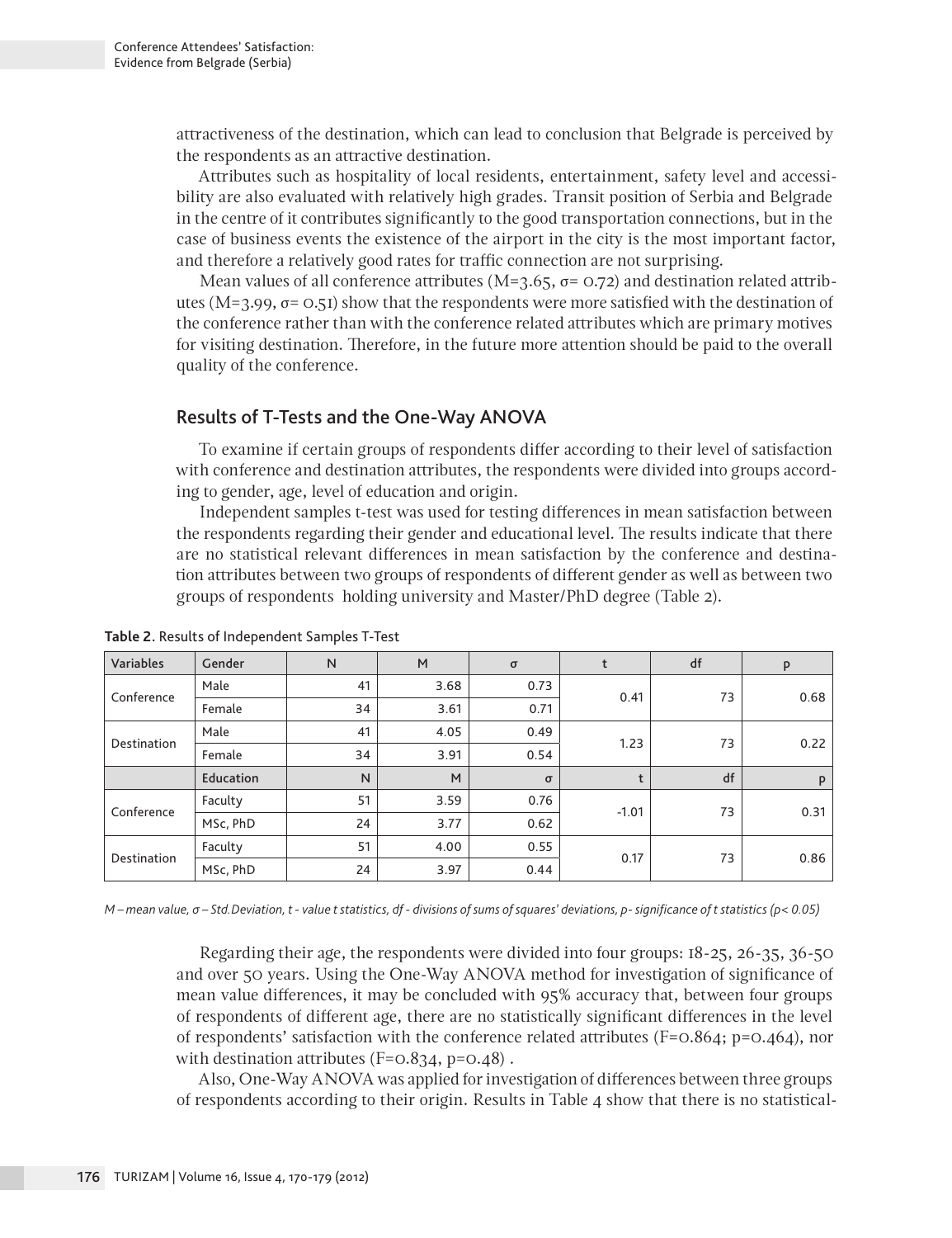attractiveness of the destination, which can lead to conclusion that Belgrade is perceived by the respondents as an attractive destination.

Attributes such as hospitality of local residents, entertainment, safety level and accessibility are also evaluated with relatively high grades. Transit position of Serbia and Belgrade in the centre of it contributes significantly to the good transportation connections, but in the case of business events the existence of the airport in the city is the most important factor, and therefore a relatively good rates for traffic connection are not surprising.

Mean values of all conference attributes ( $M=3.65$ ,  $\sigma= 0.72$ ) and destination related attributes ( $M=3.99$ ,  $\sigma$ = 0.51) show that the respondents were more satisfied with the destination of the conference rather than with the conference related attributes which are primary motives for visiting destination. Therefore, in the future more attention should be paid to the overall quality of the conference.

## Results of T-Tests and the One-Way ANOVA

To examine if certain groups of respondents differ according to their level of satisfaction with conference and destination attributes, the respondents were divided into groups according to gender, age, level of education and origin.

Independent samples t-test was used for testing differences in mean satisfaction between the respondents regarding their gender and educational level. The results indicate that there are no statistical relevant differences in mean satisfaction by the conference and destination attributes between two groups of respondents of different gender as well as between two groups of respondents holding university and Master/PhD degree (Table 2).

| Variables   | Gender    | N            | M    | $\sigma$ |      | df      | P    |      |
|-------------|-----------|--------------|------|----------|------|---------|------|------|
| Conference  | Male      | 41           | 3.68 | 0.73     | 0.41 | 73      | 0.68 |      |
|             | Female    | 34           | 3.61 | 0.71     |      |         |      |      |
| Destination | Male      | 41           | 4.05 | 0.49     | 1.23 | 73      | 0.22 |      |
|             | Female    | 34           | 3.91 | 0.54     |      |         |      |      |
|             | Education | $\mathsf{N}$ | M    | $\sigma$ |      | df      | P    |      |
| Conference  | Faculty   | 51           | 3.59 | 0.76     |      | $-1.01$ | 73   | 0.31 |
|             | MSc, PhD  | 24           | 3.77 | 0.62     |      |         |      |      |
| Destination | Faculty   | 51           | 4.00 | 0.55     | 0.17 | 73      | 0.86 |      |
|             | MSc, PhD  | 24           | 3.97 | 0.44     |      |         |      |      |

**Table 2.** Results of Independent Samples T-Test

*М – mean value, σ – Std.Deviation, t - value t statistics, df - divisions of sums of squares' deviations, p- significance of t statistics (p< 0.05)* 

Regarding their age, the respondents were divided into four groups: 18-25, 26-35, 36-50 and over 50 years. Using the One-Way ANOVA method for investigation of significance of mean value differences, it may be concluded with 95% accuracy that, between four groups of respondents of different age, there are no statistically significant differences in the level of respondents' satisfaction with the conference related attributes (F= $0.864$ ; p= $0.464$ ), nor with destination attributes  $(F=0.834, p=0.48)$ .

Also, One-Way ANOVA was applied for investigation of differences between three groups of respondents according to their origin. Results in Table 4 show that there is no statistical-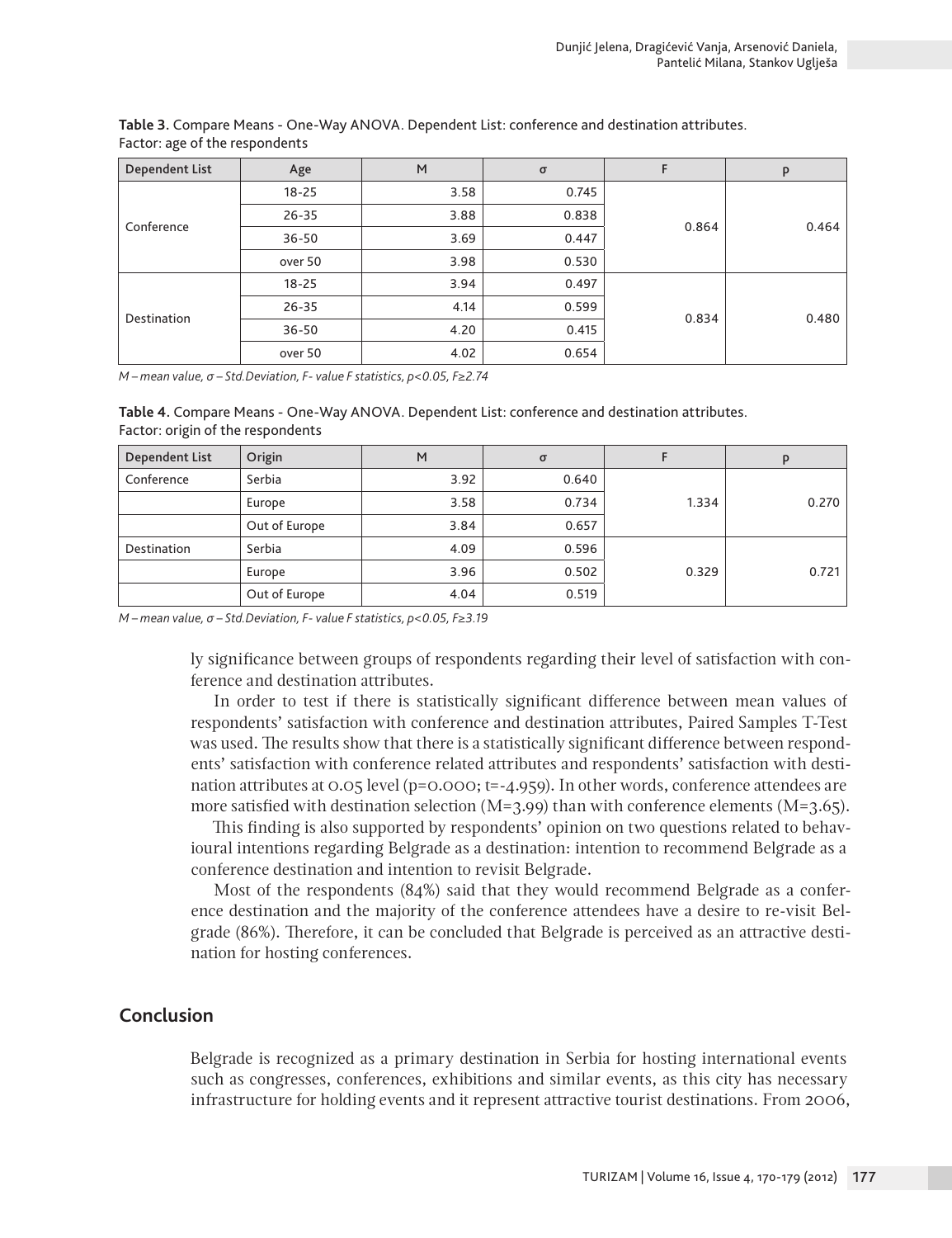| Dependent List | Age       | M    | $\sigma$ | F     | P     |
|----------------|-----------|------|----------|-------|-------|
| Conference     | $18 - 25$ | 3.58 | 0.745    | 0.864 | 0.464 |
|                | $26 - 35$ | 3.88 | 0.838    |       |       |
|                | $36 - 50$ | 3.69 | 0.447    |       |       |
|                | over 50   | 3.98 | 0.530    |       |       |
| Destination    | $18 - 25$ | 3.94 | 0.497    | 0.834 |       |
|                | $26 - 35$ | 4.14 | 0.599    |       | 0.480 |
|                | $36 - 50$ | 4.20 | 0.415    |       |       |
|                | over 50   | 4.02 | 0.654    |       |       |

**Table 3.** Compare Means - One-Way ANOVA. Dependent List: conference and destination attributes. Factor: age of the respondents

*М – mean value, σ – Std.Deviation, F- value F statistics, p<0.05, F≥2.74*

**Table 4.** Compare Means - One-Way ANOVA. Dependent List: conference and destination attributes. Factor: origin of the respondents

| <b>Dependent List</b> | Origin        | M    | $\sigma$ |       |       |
|-----------------------|---------------|------|----------|-------|-------|
| Conference            | Serbia        | 3.92 | 0.640    |       |       |
|                       | Europe        | 3.58 | 0.734    | 1.334 | 0.270 |
|                       | Out of Europe | 3.84 | 0.657    |       |       |
| Destination           | Serbia        | 4.09 | 0.596    |       |       |
|                       | Europe        | 3.96 | 0.502    | 0.329 | 0.721 |
|                       | Out of Europe | 4.04 | 0.519    |       |       |

*М – mean value, σ – Std.Deviation, F- value F statistics, p<0.05, F≥3.19*

ly significance between groups of respondents regarding their level of satisfaction with conference and destination attributes.

In order to test if there is statistically significant difference between mean values of respondents' satisfaction with conference and destination attributes, Paired Samples T-Test was used. The results show that there is a statistically significant difference between respondents' satisfaction with conference related attributes and respondents' satisfaction with destination attributes at 0.05 level (p=0.000; t=-4.959). In other words, conference attendees are more satisfied with destination selection  $(M=3.99)$  than with conference elements  $(M=3.65)$ .

This finding is also supported by respondents' opinion on two questions related to behavioural intentions regarding Belgrade as a destination: intention to recommend Belgrade as a conference destination and intention to revisit Belgrade.

Most of the respondents (84%) said that they would recommend Belgrade as a conference destination and the majority of the conference attendees have a desire to re-visit Belgrade (86%). Therefore, it can be concluded that Belgrade is perceived as an attractive destination for hosting conferences.

# **Conclusion**

Belgrade is recognized as a primary destination in Serbia for hosting international events such as congresses, conferences, exhibitions and similar events, as this city has necessary infrastructure for holding events and it represent attractive tourist destinations. From 2006,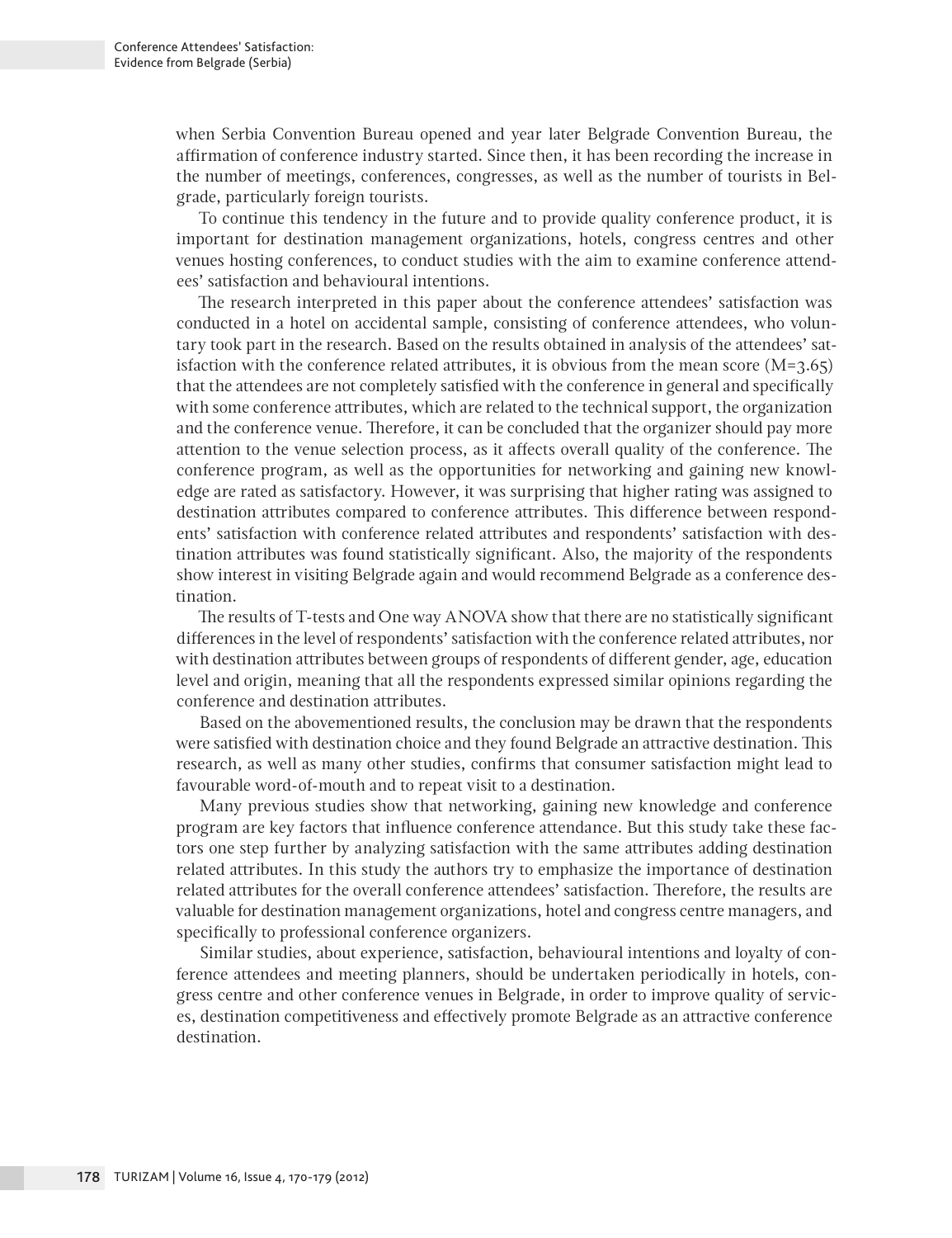when Serbia Convention Bureau opened and year later Belgrade Convention Bureau, the affirmation of conference industry started. Since then, it has been recording the increase in the number of meetings, conferences, congresses, as well as the number of tourists in Belgrade, particularly foreign tourists.

To continue this tendency in the future and to provide quality conference product, it is important for destination management organizations, hotels, congress centres and other venues hosting conferences, to conduct studies with the aim to examine conference attendees' satisfaction and behavioural intentions.

The research interpreted in this paper about the conference attendees' satisfaction was conducted in a hotel on accidental sample, consisting of conference attendees, who voluntary took part in the research. Based on the results obtained in analysis of the attendees' satisfaction with the conference related attributes, it is obvious from the mean score  $(M=3.65)$ that the attendees are not completely satisfied with the conference in general and specifically with some conference attributes, which are related to the technical support, the organization and the conference venue. Therefore, it can be concluded that the organizer should pay more attention to the venue selection process, as it affects overall quality of the conference. The conference program, as well as the opportunities for networking and gaining new knowledge are rated as satisfactory. However, it was surprising that higher rating was assigned to destination attributes compared to conference attributes. This difference between respondents' satisfaction with conference related attributes and respondents' satisfaction with destination attributes was found statistically significant. Also, the majority of the respondents show interest in visiting Belgrade again and would recommend Belgrade as a conference destination.

The results of T-tests and One way ANOVA show that there are no statistically significant differences in the level of respondents' satisfaction with the conference related attributes, nor with destination attributes between groups of respondents of different gender, age, education level and origin, meaning that all the respondents expressed similar opinions regarding the conference and destination attributes.

Based on the abovementioned results, the conclusion may be drawn that the respondents were satisfied with destination choice and they found Belgrade an attractive destination. This research, as well as many other studies, confirms that consumer satisfaction might lead to favourable word-of-mouth and to repeat visit to a destination.

Many previous studies show that networking, gaining new knowledge and conference program are key factors that influence conference attendance. But this study take these factors one step further by analyzing satisfaction with the same attributes adding destination related attributes. In this study the authors try to emphasize the importance of destination related attributes for the overall conference attendees' satisfaction. Therefore, the results are valuable for destination management organizations, hotel and congress centre managers, and specifically to professional conference organizers.

Similar studies, about experience, satisfaction, behavioural intentions and loyalty of conference attendees and meeting planners, should be undertaken periodically in hotels, congress centre and other conference venues in Belgrade, in order to improve quality of services, destination competitiveness and effectively promote Belgrade as an attractive conference destination.